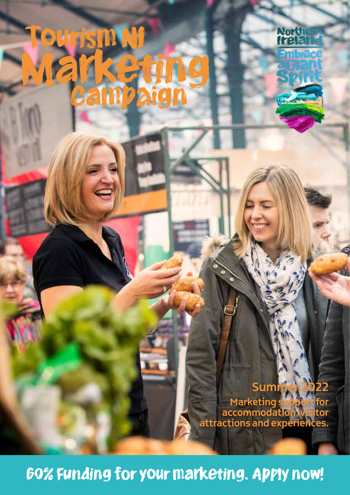# Marketing Tourism NI



**Summer 2022 Marketing support for accommodation, visitor attractions and experiences.**

60% Funding for your marketing. Apply now!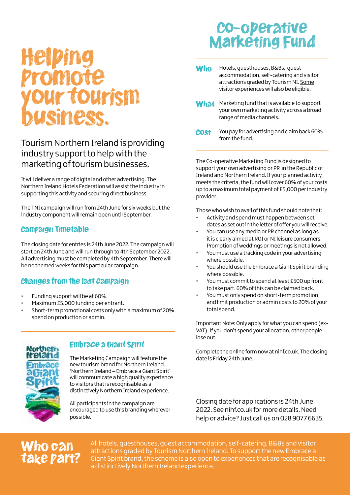## Helping promote r tourism business.

#### Tourism Northern Ireland is providing industry support to help with the marketing of tourism businesses.

It will deliver a range of digital and other advertising. The Northern Ireland Hotels Federation will assist the industry in supporting this activity and securing direct business.

The TNI campaign will run from 24th June for six weeks but the industry component will remain open until September.

#### Campaign Timetable

The closing date for entries is 24th June 2022. The campaign will start on 24th June and will run through to 4th September 2022. All advertising must be completed by 4th September. There will be no themed weeks for this particular campaign.

#### Changes from the last campaign

- Funding support will be at 60%.
- Maximum £5,000 funding per entrant.
- Short-term promotional costs only with a maximum of 20% spend on production or admin.



#### Embrace a Giant Spirit

The Marketing Campaign will feature the new tourism brand for Northern Ireland. 'Northern Ireland – Embrace a Giant Spirit' will communicate a high quality experience to visitors that is recognisable as a distinctively Northern Ireland experience.

All participants in the campaign are encouraged to use this branding wherever possible.

## Co-operative Marketing Fund

- Hotels, guesthouses, B&Bs, guest accommodation, self-catering and visitor attractions graded by Tourism NI. Some visitor experiences will also be eligible. **Who**
- Marketing fund that is available to support your own marketing activity across a broad range of media channels. **What**
- You pay for advertising and claim back 60% from the fund. Cost

The Co-operative Marketing Fund is designed to support your own advertising or PR in the Republic of Ireland and Northern Ireland. If your planned activity meets the criteria, the fund will cover 60% of your costs up to a maximum total payment of £5,000 per industry provider.

Those who wish to avail of this fund should note that:

- Activity and spend must happen between set dates as set out in the letter of offer you will receive.
- You can use any media or PR channel as long as it is clearly aimed at ROI or NI leisure consumers. Promotion of weddings or meetings is not allowed.
- You must use a tracking code in your advertising where possible.
- You should use the Embrace a Giant Spirit branding where possible.
- You must commit to spend at least £500 up front to take part. 60% of this can be claimed back.
- You must only spend on short-term promotion and limit production or admin costs to 20% of your total spend.

Important Note: Only apply for what you can spend (ex-VAT). If you don't spend your allocation, other people lose out.

Complete the online form now at nihf.co.uk. The closing date is Friday 24th June.

Closing date for applications is 24th June 2022. See nihf.co.uk for more details. Need help or advice? Just call us on 028 9077 6635.

### Who can lke part?

All hotels, guesthouses, guest accommodation, self-catering, B&Bs and visitor attractions graded by Tourism Northern Ireland. To support the new Embrace a Giant Spirit brand, the scheme is also open to experiences that are recognisable as a distinctively Northern Ireland experience.